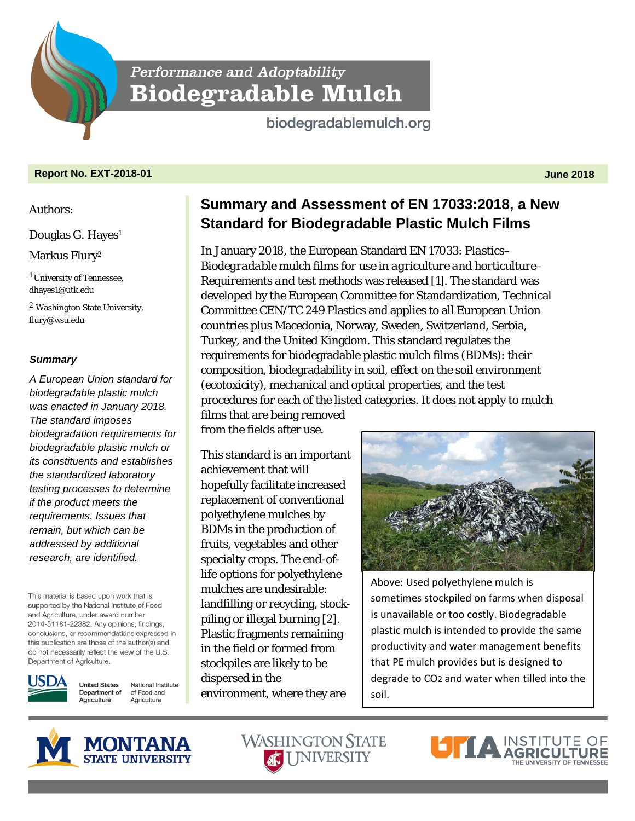Performance and Adoptability **Biodegradable Mulch** 

biodegradablemulch.org

## **Report No. EXT-2018-01 June 2018**

#### Authors:

Douglas G. Hayes<sup>1</sup>

# Markus Flury<sup>2</sup>

<sup>1</sup> University of Tennessee, dhayes1@utk.edu

<sup>2</sup> Washington State University, flury@wsu.edu

### *Summary*

*A European Union standard for biodegradable plastic mulch was enacted in January 2018. The standard imposes biodegradation requirements for biodegradable plastic mulch or its constituents and establishes the standardized laboratory testing processes to determine if the product meets the requirements. Issues that remain, but which can be addressed by additional research, are identified.*

This material is based upon work that is supported by the National Institute of Food and Agriculture, under award number 2014-51181-22382. Any opinions, findings, conclusions, or recommendations expressed in this publication are those of the author(s) and do not necessarily reflect the view of the U.S. Department of Agriculture.



**United States** National Institute Department of of Food and Agriculture Agriculture

**Summary and Assessment of EN 17033:2018, a New Standard for Biodegradable Plastic Mulch Films**

In January 2018, the European Standard EN 17033: *Plastics– Biodegradable mulch films for use in agriculture and horticulture– Requirements and test methods* was released [1]. The standard was developed by the European Committee for Standardization, Technical Committee CEN/TC 249 Plastics and applies to all European Union countries plus Macedonia, Norway, Sweden, Switzerland, Serbia, Turkey, and the United Kingdom. This standard regulates the requirements for biodegradable plastic mulch films (BDMs): their composition, biodegradability in soil, effect on the soil environment (ecotoxicity), mechanical and optical properties, and the test procedures for each of the listed categories. It does not apply to mulch films that are being removed

from the fields after use.

This standard is an important achievement that will hopefully facilitate increased replacement of conventional polyethylene mulches by BDMs in the production of fruits, vegetables and other specialty crops. The end-oflife options for polyethylene mulches are undesirable: landfilling or recycling, stockpiling or illegal burning [2]. Plastic fragments remaining in the field or formed from stockpiles are likely to be dispersed in the environment, where they are



Above: Used polyethylene mulch is sometimes stockpiled on farms when disposal is unavailable or too costly. Biodegradable plastic mulch is intended to provide the same productivity and water management benefits that PE mulch provides but is designed to degrade to CO2 and water when tilled into the soil.





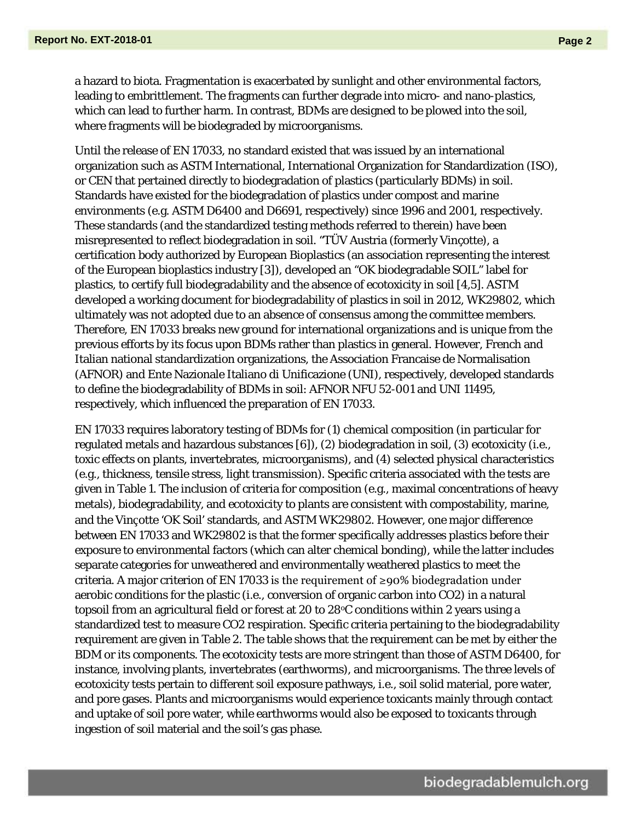a hazard to biota. Fragmentation is exacerbated by sunlight and other environmental factors, leading to embrittlement. The fragments can further degrade into micro- and nano-plastics, which can lead to further harm. In contrast, BDMs are designed to be plowed into the soil, where fragments will be biodegraded by microorganisms.

Until the release of EN 17033, no standard existed that was issued by an international organization such as ASTM International, International Organization for Standardization (ISO), or CEN that pertained directly to biodegradation of plastics (particularly BDMs) in soil. Standards have existed for the biodegradation of plastics under compost and marine environments (e.g. ASTM D6400 and D6691, respectively) since 1996 and 2001, respectively. These standards (and the standardized testing methods referred to therein) have been misrepresented to reflect biodegradation in soil. "TÜV Austria (formerly Vinçotte), a certification body authorized by European Bioplastics (an association representing the interest of the European bioplastics industry [3]), developed an "OK biodegradable SOIL" label for plastics, to certify full biodegradability and the absence of ecotoxicity in soil [4,5]. ASTM developed a working document for biodegradability of plastics in soil in 2012, WK29802, which ultimately was not adopted due to an absence of consensus among the committee members. Therefore, EN 17033 breaks new ground for international organizations and is unique from the previous efforts by its focus upon BDMs rather than plastics in general. However, French and Italian national standardization organizations, the Association Francaise de Normalisation (AFNOR) and Ente Nazionale Italiano di Unificazione (UNI), respectively, developed standards to define the biodegradability of BDMs in soil: AFNOR NFU 52-001 and UNI 11495, respectively, which influenced the preparation of EN 17033.

EN 17033 requires laboratory testing of BDMs for (1) chemical composition (in particular for regulated metals and hazardous substances [6]), (2) biodegradation in soil, (3) ecotoxicity (i.e., toxic effects on plants, invertebrates, microorganisms), and (4) selected physical characteristics (e.g., thickness, tensile stress, light transmission). Specific criteria associated with the tests are given in Table 1. The inclusion of criteria for composition (e.g., maximal concentrations of heavy metals), biodegradability, and ecotoxicity to plants are consistent with compostability, marine, and the Vinçotte 'OK Soil' standards, and ASTM WK29802. However, one major difference between EN 17033 and WK29802 is that the former specifically addresses plastics before their exposure to environmental factors (which can alter chemical bonding), while the latter includes separate categories for unweathered and environmentally weathered plastics to meet the criteria. A major criterion of EN 17033 is the requirement of  $\geq$ 90% biodegradation under aerobic conditions for the plastic (i.e., conversion of organic carbon into CO2) in a natural topsoil from an agricultural field or forest at 20 to 28°C conditions within 2 years using a standardized test to measure CO2 respiration. Specific criteria pertaining to the biodegradability requirement are given in Table 2. The table shows that the requirement can be met by either the BDM or its components. The ecotoxicity tests are more stringent than those of ASTM D6400, for instance, involving plants, invertebrates (earthworms), and microorganisms. The three levels of ecotoxicity tests pertain to different soil exposure pathways, i.e., soil solid material, pore water, and pore gases. Plants and microorganisms would experience toxicants mainly through contact and uptake of soil pore water, while earthworms would also be exposed to toxicants through ingestion of soil material and the soil's gas phase.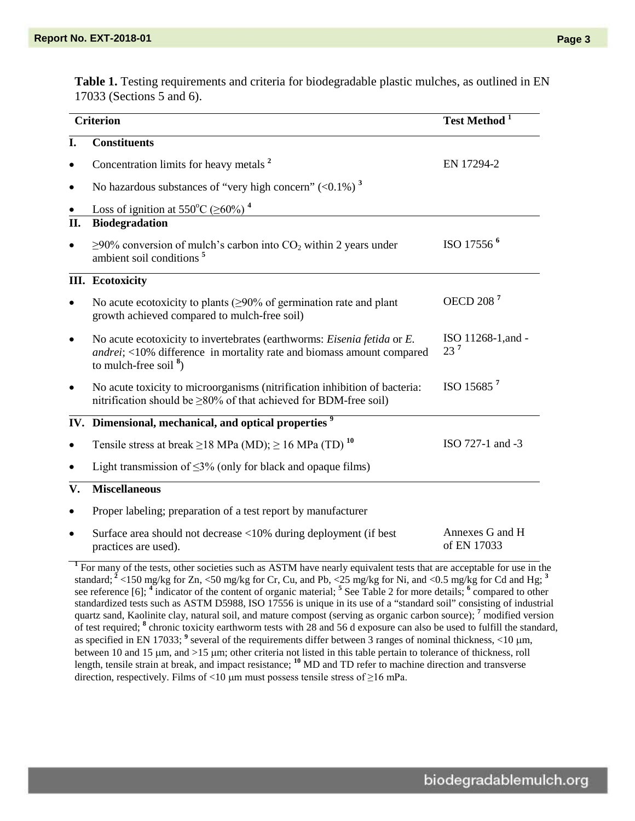**Table 1.** Testing requirements and criteria for biodegradable plastic mulches, as outlined in EN 17033 (Sections 5 and 6).

| <b>Criterion</b> |                                                                                                                                                                                 | Test Method <sup>1</sup>       |
|------------------|---------------------------------------------------------------------------------------------------------------------------------------------------------------------------------|--------------------------------|
| I.               | <b>Constituents</b>                                                                                                                                                             |                                |
|                  | Concentration limits for heavy metals <sup>2</sup>                                                                                                                              | EN 17294-2                     |
|                  | No hazardous substances of "very high concern" $(<0.1\%)$ <sup>3</sup>                                                                                                          |                                |
|                  | Loss of ignition at 550°C ( $\geq 60\%$ ) <sup>4</sup>                                                                                                                          |                                |
| II.              | Biodegradation                                                                                                                                                                  |                                |
|                  | $\geq$ 90% conversion of mulch's carbon into CO <sub>2</sub> within 2 years under<br>ambient soil conditions <sup>5</sup>                                                       | ISO 17556 <sup>6</sup>         |
|                  | <b>III.</b> Ecotoxicity                                                                                                                                                         |                                |
|                  | No acute ecotoxicity to plants ( $\geq$ 90% of germination rate and plant<br>growth achieved compared to mulch-free soil)                                                       | OECD 208 <sup>7</sup>          |
|                  | No acute ecotoxicity to invertebrates (earthworms: Eisenia fetida or E.<br>andrei; <10% difference in mortality rate and biomass amount compared<br>to mulch-free soil $^{8}$ ) | ISO 11268-1, and -<br>$23^7$   |
|                  | No acute toxicity to microorganisms (nitrification inhibition of bacteria:<br>nitrification should be $\geq$ 80% of that achieved for BDM-free soil)                            | ISO 15685 <sup>7</sup>         |
|                  | IV. Dimensional, mechanical, and optical properties <sup>9</sup>                                                                                                                |                                |
|                  | Tensile stress at break $\geq$ 18 MPa (MD); $\geq$ 16 MPa (TD) <sup>10</sup>                                                                                                    | ISO 727-1 and -3               |
|                  | Light transmission of $\leq$ 3% (only for black and opaque films)                                                                                                               |                                |
| V.               | <b>Miscellaneous</b>                                                                                                                                                            |                                |
|                  | Proper labeling; preparation of a test report by manufacturer                                                                                                                   |                                |
|                  | Surface area should not decrease <10% during deployment (if best<br>practices are used).                                                                                        | Annexes G and H<br>of EN 17033 |

standard; **<sup>2</sup>** <150 mg/kg for Zn, <50 mg/kg for Cr, Cu, and Pb, <25 mg/kg for Ni, and <0.5 mg/kg for Cd and Hg; **<sup>3</sup>** see reference [6]; **<sup>4</sup>** indicator of the content of organic material; **<sup>5</sup>** See Table 2 for more details; **<sup>6</sup>** compared to other standardized tests such as ASTM D5988, ISO 17556 is unique in its use of a "standard soil" consisting of industrial quartz sand, Kaolinite clay, natural soil, and mature compost (serving as organic carbon source); **<sup>7</sup>** modified version of test required; **<sup>8</sup>** chronic toxicity earthworm tests with 28 and 56 d exposure can also be used to fulfill the standard, as specified in EN 17033; <sup>9</sup> several of the requirements differ between 3 ranges of nominal thickness, <10 µm, between 10 and 15 µm, and >15 µm; other criteria not listed in this table pertain to tolerance of thickness, roll length, tensile strain at break, and impact resistance; **<sup>10</sup>** MD and TD refer to machine direction and transverse direction, respectively. Films of <10  $\mu$ m must possess tensile stress of ≥16 mPa.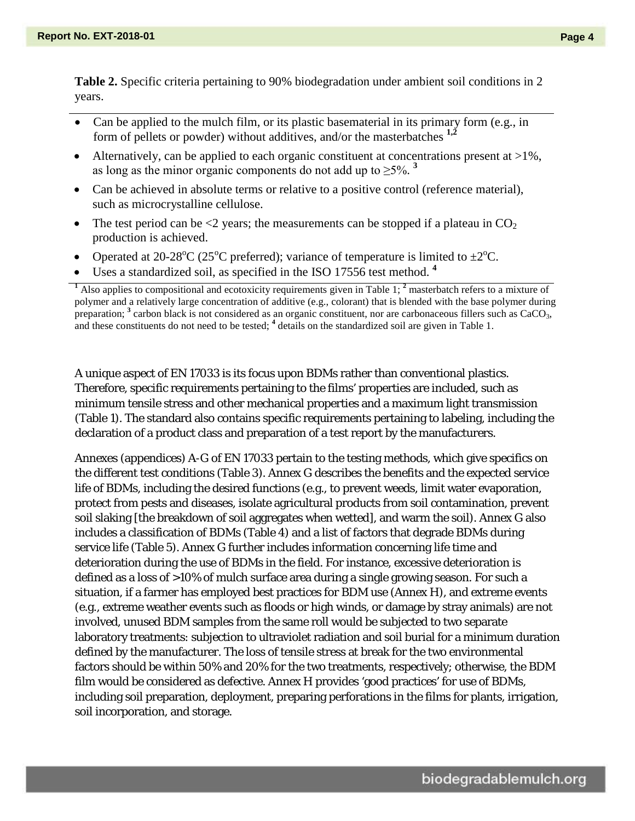**Table 2.** Specific criteria pertaining to 90% biodegradation under ambient soil conditions in 2 years.

- Can be applied to the mulch film, or its plastic basematerial in its primary form (e.g., in form of pellets or powder) without additives, and/or the masterbatches **1,2**
- Alternatively, can be applied to each organic constituent at concentrations present at  $>1\%$ , as long as the minor organic components do not add up to  $\geq 5\%$ .<sup>3</sup>
- Can be achieved in absolute terms or relative to a positive control (reference material), such as microcrystalline cellulose.
- The test period can be  $\leq 2$  years; the measurements can be stopped if a plateau in CO<sub>2</sub> production is achieved.
- Operated at 20-28<sup>o</sup>C (25<sup>o</sup>C preferred); variance of temperature is limited to  $\pm 2^{\circ}$ C.
- Uses a standardized soil, as specified in the ISO 17556 test method. **<sup>4</sup>**

A unique aspect of EN 17033 is its focus upon BDMs rather than conventional plastics. Therefore, specific requirements pertaining to the films' properties are included, such as minimum tensile stress and other mechanical properties and a maximum light transmission (Table 1). The standard also contains specific requirements pertaining to labeling, including the declaration of a product class and preparation of a test report by the manufacturers.

Annexes (appendices) A-G of EN 17033 pertain to the testing methods, which give specifics on the different test conditions (Table 3). Annex G describes the benefits and the expected service life of BDMs, including the desired functions (e.g., to prevent weeds, limit water evaporation, protect from pests and diseases, isolate agricultural products from soil contamination, prevent soil slaking [the breakdown of soil aggregates when wetted], and warm the soil). Annex G also includes a classification of BDMs (Table 4) and a list of factors that degrade BDMs during service life (Table 5). Annex G further includes information concerning life time and deterioration during the use of BDMs in the field. For instance, excessive deterioration is defined as a loss of >10% of mulch surface area during a single growing season. For such a situation, if a farmer has employed best practices for BDM use (Annex H), and extreme events (e.g., extreme weather events such as floods or high winds, or damage by stray animals) are not involved, unused BDM samples from the same roll would be subjected to two separate laboratory treatments: subjection to ultraviolet radiation and soil burial for a minimum duration defined by the manufacturer. The loss of tensile stress at break for the two environmental factors should be within 50% and 20% for the two treatments, respectively; otherwise, the BDM film would be considered as defective. Annex H provides 'good practices' for use of BDMs, including soil preparation, deployment, preparing perforations in the films for plants, irrigation, soil incorporation, and storage.

**<sup>1</sup>** Also applies to compositional and ecotoxicity requirements given in Table 1; **<sup>2</sup>** masterbatch refers to a mixture of polymer and a relatively large concentration of additive (e.g., colorant) that is blended with the base polymer during preparation; <sup>3</sup> carbon black is not considered as an organic constituent, nor are carbonaceous fillers such as CaCO<sub>3</sub>, and these constituents do not need to be tested; **<sup>4</sup>** details on the standardized soil are given in Table 1.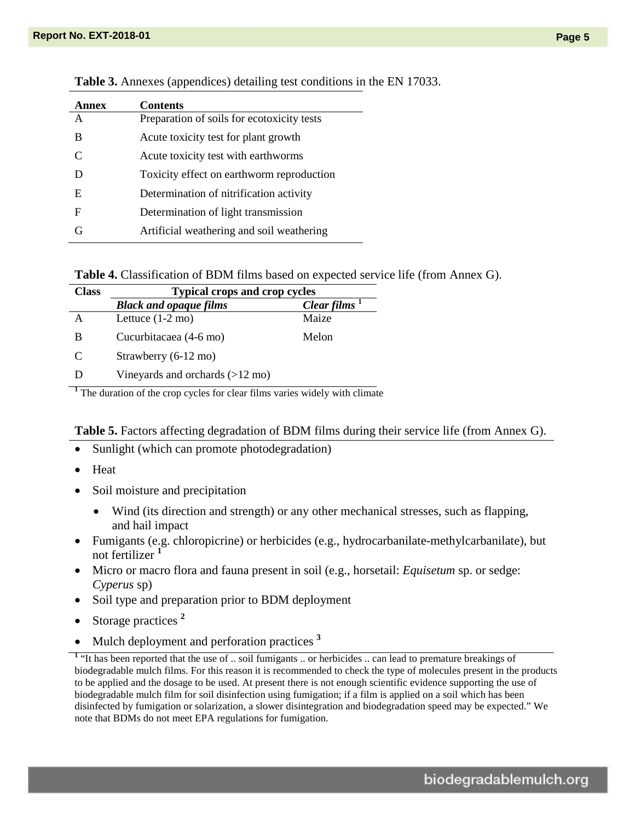| Annex | <b>Contents</b>                            |
|-------|--------------------------------------------|
| A     | Preparation of soils for ecotoxicity tests |
| B     | Acute toxicity test for plant growth       |
| C     | Acute toxicity test with earthworms        |
| D     | Toxicity effect on earthworm reproduction  |
| E     | Determination of nitrification activity    |
| F     | Determination of light transmission        |
| G     | Artificial weathering and soil weathering  |

**Table 3.** Annexes (appendices) detailing test conditions in the EN 17033.

**Table 4.** Classification of BDM films based on expected service life (from Annex G).

| <b>Class</b> | <b>Typical crops and crop cycles</b>      |             |  |
|--------------|-------------------------------------------|-------------|--|
|              | <b>Black and opaque films</b>             | Clear films |  |
| А            | Lettuce $(1-2 \text{ mo})$                | Maize       |  |
| B            | Cucurbitacaea (4-6 mo)                    | Melon       |  |
| C            | Strawberry (6-12 mo)                      |             |  |
| Ð            | Vineyards and orchards $(>12 \text{ mo})$ |             |  |

**<sup>1</sup>** The duration of the crop cycles for clear films varies widely with climate

**Table 5.** Factors affecting degradation of BDM films during their service life (from Annex G).

- Sunlight (which can promote photodegradation)
- Heat
- Soil moisture and precipitation
	- Wind (its direction and strength) or any other mechanical stresses, such as flapping, and hail impact
- Fumigants (e.g. chloropicrine) or herbicides (e.g., hydrocarbanilate-methylcarbanilate), but not fertilizer **<sup>1</sup>**
- Micro or macro flora and fauna present in soil (e.g., horsetail: *Equisetum* sp. or sedge: *Cyperus* sp)
- Soil type and preparation prior to BDM deployment
- Storage practices **<sup>2</sup>**
- Mulch deployment and perforation practices<sup>3</sup>

**<sup>1</sup>** "It has been reported that the use of .. soil fumigants .. or herbicides .. can lead to premature breakings of biodegradable mulch films. For this reason it is recommended to check the type of molecules present in the products to be applied and the dosage to be used. At present there is not enough scientific evidence supporting the use of biodegradable mulch film for soil disinfection using fumigation; if a film is applied on a soil which has been disinfected by fumigation or solarization, a slower disintegration and biodegradation speed may be expected." We note that BDMs do not meet EPA regulations for fumigation.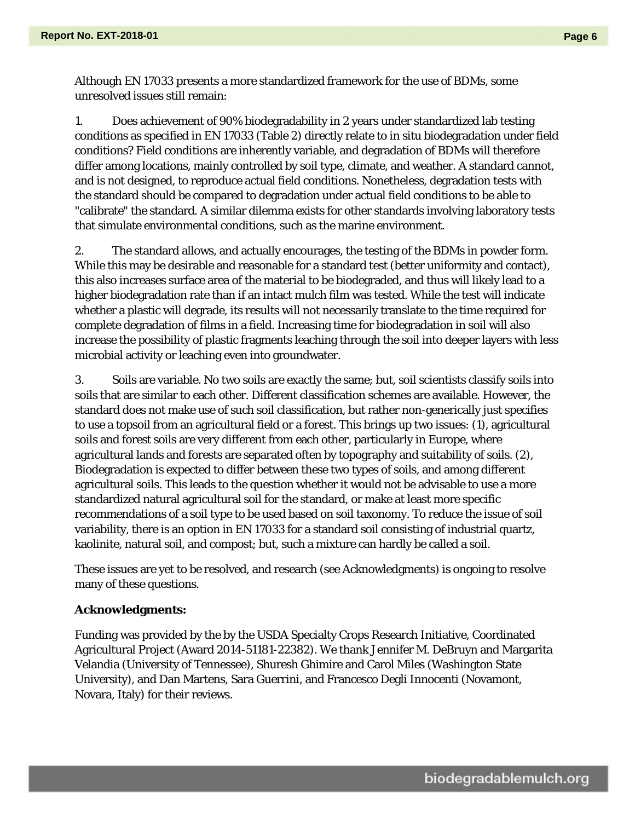Although EN 17033 presents a more standardized framework for the use of BDMs, some unresolved issues still remain:

1. Does achievement of 90% biodegradability in 2 years under standardized lab testing conditions as specified in EN 17033 (Table 2) directly relate to in situ biodegradation under field conditions? Field conditions are inherently variable, and degradation of BDMs will therefore differ among locations, mainly controlled by soil type, climate, and weather. A standard cannot, and is not designed, to reproduce actual field conditions. Nonetheless, degradation tests with the standard should be compared to degradation under actual field conditions to be able to "calibrate" the standard. A similar dilemma exists for other standards involving laboratory tests that simulate environmental conditions, such as the marine environment.

2. The standard allows, and actually encourages, the testing of the BDMs in powder form. While this may be desirable and reasonable for a standard test (better uniformity and contact), this also increases surface area of the material to be biodegraded, and thus will likely lead to a higher biodegradation rate than if an intact mulch film was tested. While the test will indicate whether a plastic will degrade, its results will not necessarily translate to the time required for complete degradation of films in a field. Increasing time for biodegradation in soil will also increase the possibility of plastic fragments leaching through the soil into deeper layers with less microbial activity or leaching even into groundwater.

3. Soils are variable. No two soils are exactly the same; but, soil scientists classify soils into soils that are similar to each other. Different classification schemes are available. However, the standard does not make use of such soil classification, but rather non-generically just specifies to use a topsoil from an agricultural field or a forest. This brings up two issues: (1), agricultural soils and forest soils are very different from each other, particularly in Europe, where agricultural lands and forests are separated often by topography and suitability of soils. (2), Biodegradation is expected to differ between these two types of soils, and among different agricultural soils. This leads to the question whether it would not be advisable to use a more standardized natural agricultural soil for the standard, or make at least more specific recommendations of a soil type to be used based on soil taxonomy. To reduce the issue of soil variability, there is an option in EN 17033 for a standard soil consisting of industrial quartz, kaolinite, natural soil, and compost; but, such a mixture can hardly be called a soil.

These issues are yet to be resolved, and research (see Acknowledgments) is ongoing to resolve many of these questions.

### **Acknowledgments:**

Funding was provided by the by the USDA Specialty Crops Research Initiative, Coordinated Agricultural Project (Award 2014-51181-22382). We thank Jennifer M. DeBruyn and Margarita Velandia (University of Tennessee), Shuresh Ghimire and Carol Miles (Washington State University), and Dan Martens, Sara Guerrini, and Francesco Degli Innocenti (Novamont, Novara, Italy) for their reviews.